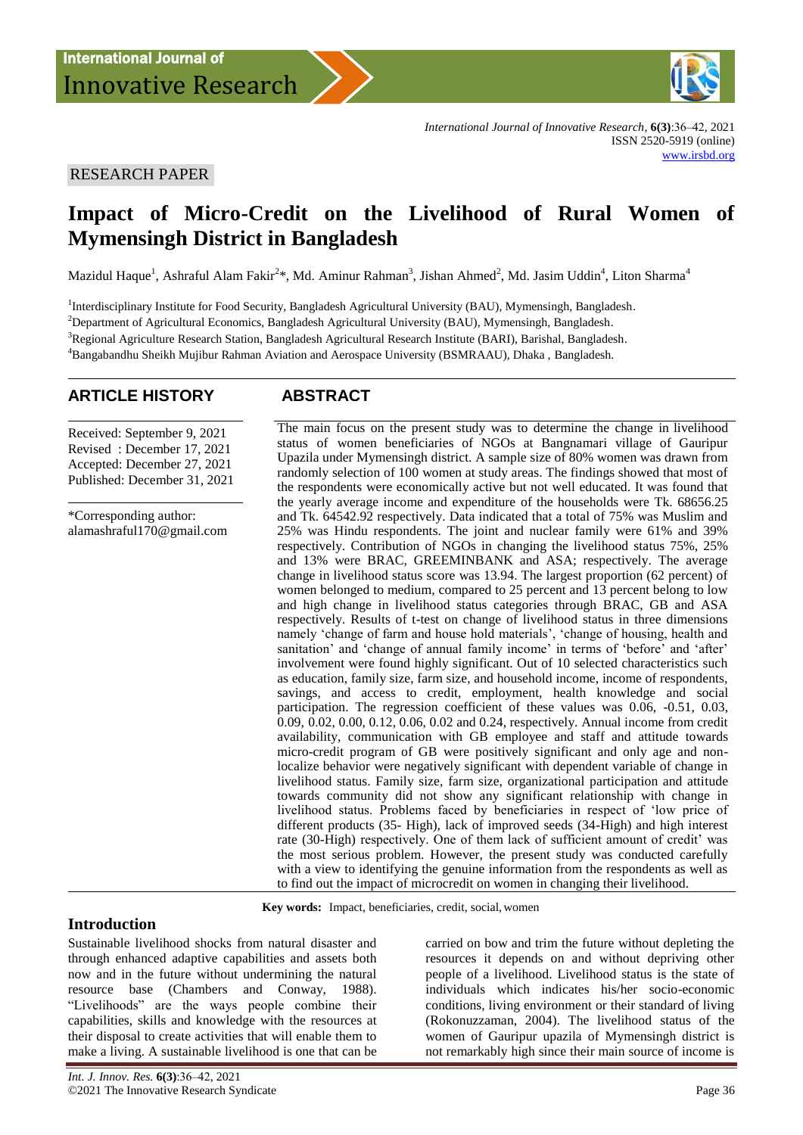

*International Journal of Innovative Research*, **6(3)**:36–42, 2021 ISSN 2520-5919 (online) [www.irsbd.org](http://www.irsbd.org/)

### RESEARCH PAPER

# **Impact of Micro-Credit on the Livelihood of Rural Women of Mymensingh District in Bangladesh**

Mazidul Haque<sup>1</sup>, Ashraful Alam Fakir<sup>2\*</sup>, Md. Aminur Rahman<sup>3</sup>, Jishan Ahmed<sup>2</sup>, Md. Jasim Uddin<sup>4</sup>, Liton Sharma<sup>4</sup>

<sup>1</sup>Interdisciplinary Institute for Food Security, Bangladesh Agricultural University (BAU), Mymensingh, Bangladesh.

<sup>2</sup>Department of Agricultural Economics, Bangladesh Agricultural University (BAU), Mymensingh, Bangladesh.

<sup>3</sup>Regional Agriculture Research Station, Bangladesh Agricultural Research Institute (BARI), Barishal, Bangladesh.

<sup>4</sup>Bangabandhu Sheikh Mujibur Rahman Aviation and Aerospace University (BSMRAAU), Dhaka , Bangladesh.

## **ARTICLE HISTORY ABSTRACT**

Received: September 9, 2021 Revised : December 17, 2021 Accepted: December 27, 2021 Published: December 31, 2021

\*Corresponding author: [alamashraful170@gmail.com](mailto:alamashraful170@gmail.com) The main focus on the present study was to determine the change in livelihood status of women beneficiaries of NGOs at Bangnamari village of Gauripur Upazila under Mymensingh district. A sample size of 80% women was drawn from randomly selection of 100 women at study areas. The findings showed that most of the respondents were economically active but not well educated. It was found that the yearly average income and expenditure of the households were Tk. 68656.25 and Tk. 64542.92 respectively. Data indicated that a total of 75% was Muslim and 25% was Hindu respondents. The joint and nuclear family were 61% and 39% respectively. Contribution of NGOs in changing the livelihood status 75%, 25% and 13% were BRAC, GREEMINBANK and ASA; respectively. The average change in livelihood status score was 13.94. The largest proportion (62 percent) of women belonged to medium, compared to 25 percent and 13 percent belong to low and high change in livelihood status categories through BRAC, GB and ASA respectively. Results of t-test on change of livelihood status in three dimensions namely 'change of farm and house hold materials', 'change of housing, health and sanitation' and 'change of annual family income' in terms of 'before' and 'after' involvement were found highly significant. Out of 10 selected characteristics such as education, family size, farm size, and household income, income of respondents, savings, and access to credit, employment, health knowledge and social participation. The regression coefficient of these values was 0.06, -0.51, 0.03, 0.09, 0.02, 0.00, 0.12, 0.06, 0.02 and 0.24, respectively. Annual income from credit availability, communication with GB employee and staff and attitude towards micro-credit program of GB were positively significant and only age and nonlocalize behavior were negatively significant with dependent variable of change in livelihood status. Family size, farm size, organizational participation and attitude towards community did not show any significant relationship with change in livelihood status. Problems faced by beneficiaries in respect of "low price of different products (35- High), lack of improved seeds (34-High) and high interest rate (30-High) respectively. One of them lack of sufficient amount of credit" was the most serious problem. However, the present study was conducted carefully with a view to identifying the genuine information from the respondents as well as to find out the impact of microcredit on women in changing their livelihood.

**Key words:** Impact, beneficiaries, credit, social, women

## **Introduction**

Sustainable livelihood shocks from natural disaster and through enhanced adaptive capabilities and assets both now and in the future without undermining the natural resource base (Chambers and Conway, 1988). "Livelihoods" are the ways people combine their capabilities, skills and knowledge with the resources at their disposal to create activities that will enable them to make a living. A sustainable livelihood is one that can be

carried on bow and trim the future without depleting the resources it depends on and without depriving other people of a livelihood. Livelihood status is the state of individuals which indicates his/her socio-economic conditions, living environment or their standard of living (Rokonuzzaman, 2004). The livelihood status of the women of Gauripur upazila of Mymensingh district is not remarkably high since their main source of income is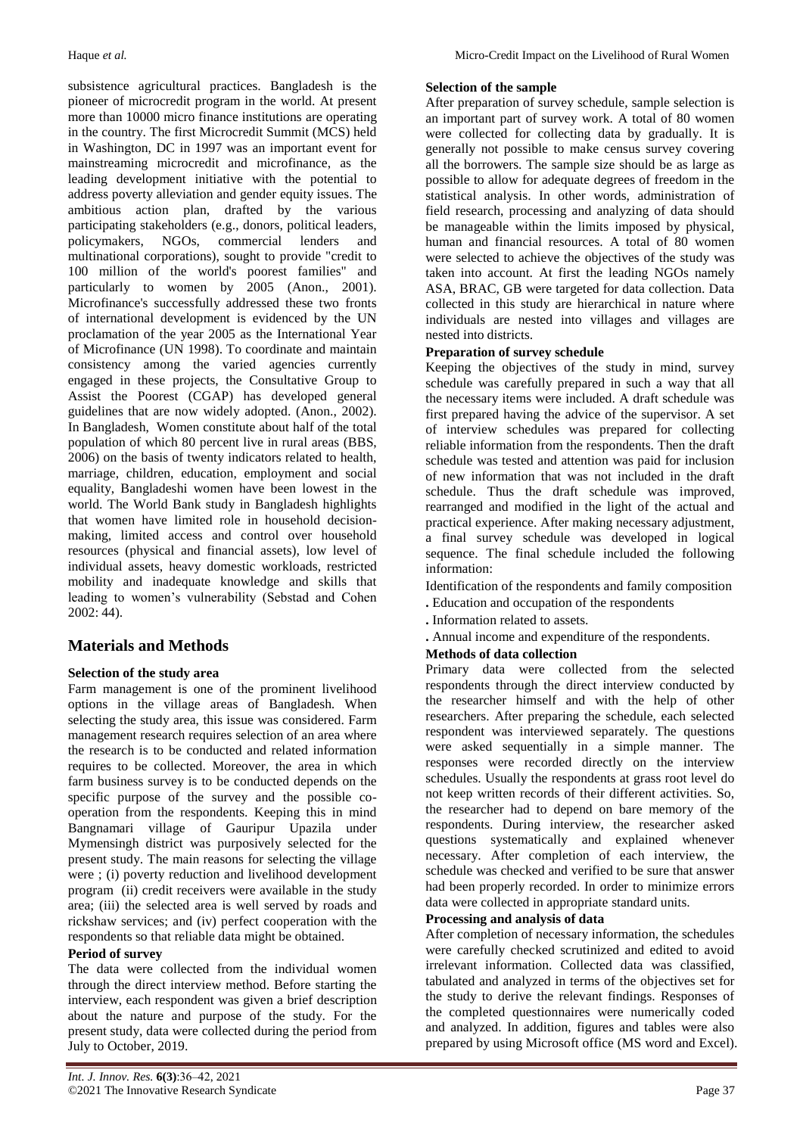subsistence agricultural practices. Bangladesh is the pioneer of microcredit program in the world. At present more than 10000 micro finance institutions are operating in the country. The first Microcredit Summit (MCS) held in Washington, DC in 1997 was an important event for mainstreaming microcredit and microfinance, as the leading development initiative with the potential to address poverty alleviation and gender equity issues. The ambitious action plan, drafted by the various participating stakeholders (e.g., donors, political leaders, policymakers, NGOs, commercial lenders and multinational corporations), sought to provide "credit to 100 million of the world's poorest families" and particularly to women by 2005 (Anon., 2001). Microfinance's successfully addressed these two fronts of international development is evidenced by the UN proclamation of the year 2005 as the International Year of Microfinance (UN 1998). To coordinate and maintain consistency among the varied agencies currently engaged in these projects, the Consultative Group to Assist the Poorest (CGAP) has developed general guidelines that are now widely adopted. (Anon., 2002). In Bangladesh, Women constitute about half of the total population of which 80 percent live in rural areas (BBS, 2006) on the basis of twenty indicators related to health, marriage, children, education, employment and social equality, Bangladeshi women have been lowest in the world. The World Bank study in Bangladesh highlights that women have limited role in household decisionmaking, limited access and control over household resources (physical and financial assets), low level of individual assets, heavy domestic workloads, restricted mobility and inadequate knowledge and skills that leading to women"s vulnerability (Sebstad and Cohen 2002: 44).

## **Materials and Methods**

#### **Selection of the study area**

Farm management is one of the prominent livelihood options in the village areas of Bangladesh. When selecting the study area, this issue was considered. Farm management research requires selection of an area where the research is to be conducted and related information requires to be collected. Moreover, the area in which farm business survey is to be conducted depends on the specific purpose of the survey and the possible cooperation from the respondents. Keeping this in mind Bangnamari village of Gauripur Upazila under Mymensingh district was purposively selected for the present study. The main reasons for selecting the village were ; (i) poverty reduction and livelihood development program (ii) credit receivers were available in the study area; (iii) the selected area is well served by roads and rickshaw services; and (iv) perfect cooperation with the respondents so that reliable data might be obtained.

#### **Period of survey**

The data were collected from the individual women through the direct interview method. Before starting the interview, each respondent was given a brief description about the nature and purpose of the study. For the present study, data were collected during the period from July to October, 2019.

#### **Selection of the sample**

After preparation of survey schedule, sample selection is an important part of survey work. A total of 80 women were collected for collecting data by gradually. It is generally not possible to make census survey covering all the borrowers. The sample size should be as large as possible to allow for adequate degrees of freedom in the statistical analysis. In other words, administration of field research, processing and analyzing of data should be manageable within the limits imposed by physical, human and financial resources. A total of 80 women were selected to achieve the objectives of the study was taken into account. At first the leading NGOs namely ASA, BRAC, GB were targeted for data collection. Data collected in this study are hierarchical in nature where individuals are nested into villages and villages are nested into districts.

## **Preparation of survey schedule**

Keeping the objectives of the study in mind, survey schedule was carefully prepared in such a way that all the necessary items were included. A draft schedule was first prepared having the advice of the supervisor. A set of interview schedules was prepared for collecting reliable information from the respondents. Then the draft schedule was tested and attention was paid for inclusion of new information that was not included in the draft schedule. Thus the draft schedule was improved, rearranged and modified in the light of the actual and practical experience. After making necessary adjustment, a final survey schedule was developed in logical sequence. The final schedule included the following information:

Identification of the respondents and family composition

- **.** Education and occupation of the respondents
- **.** Information related to assets.
- **.** Annual income and expenditure of the respondents.

#### **Methods of data collection**

Primary data were collected from the selected respondents through the direct interview conducted by the researcher himself and with the help of other researchers. After preparing the schedule, each selected respondent was interviewed separately. The questions were asked sequentially in a simple manner. The responses were recorded directly on the interview schedules. Usually the respondents at grass root level do not keep written records of their different activities. So, the researcher had to depend on bare memory of the respondents. During interview, the researcher asked questions systematically and explained whenever necessary. After completion of each interview, the schedule was checked and verified to be sure that answer had been properly recorded. In order to minimize errors data were collected in appropriate standard units.

#### **Processing and analysis of data**

After completion of necessary information, the schedules were carefully checked scrutinized and edited to avoid irrelevant information. Collected data was classified, tabulated and analyzed in terms of the objectives set for the study to derive the relevant findings. Responses of the completed questionnaires were numerically coded and analyzed. In addition, figures and tables were also prepared by using Microsoft office (MS word and Excel).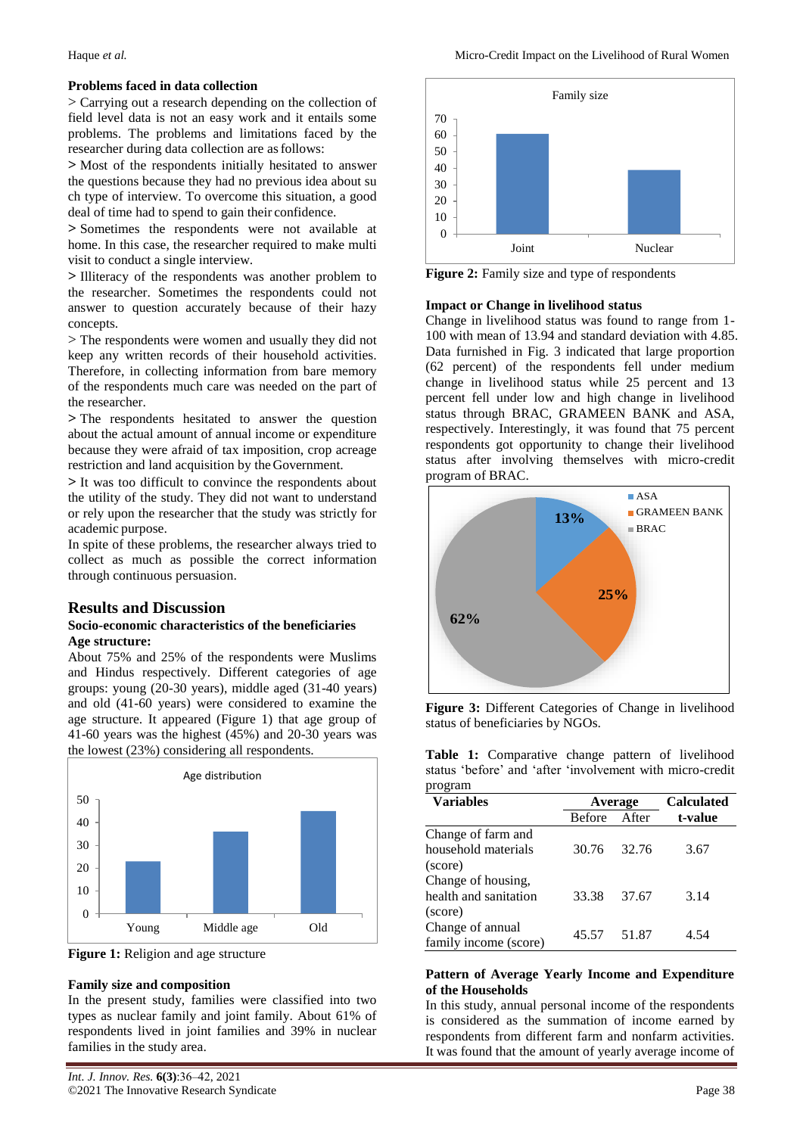#### **Problems faced in data collection**

> Carrying out a research depending on the collection of field level data is not an easy work and it entails some problems. The problems and limitations faced by the researcher during data collection are asfollows:

**>** Most of the respondents initially hesitated to answer the questions because they had no previous idea about su ch type of interview. To overcome this situation, a good deal of time had to spend to gain their confidence.

**>** Sometimes the respondents were not available at home. In this case, the researcher required to make multi visit to conduct a single interview.

**>** Illiteracy of the respondents was another problem to the researcher. Sometimes the respondents could not answer to question accurately because of their hazy concepts.

> The respondents were women and usually they did not keep any written records of their household activities. Therefore, in collecting information from bare memory of the respondents much care was needed on the part of the researcher.

**>** The respondents hesitated to answer the question about the actual amount of annual income or expenditure because they were afraid of tax imposition, crop acreage restriction and land acquisition by theGovernment.

**>** It was too difficult to convince the respondents about the utility of the study. They did not want to understand or rely upon the researcher that the study was strictly for academic purpose.

In spite of these problems, the researcher always tried to collect as much as possible the correct information through continuous persuasion.

#### **Results and Discussion**

#### **Socio-economic characteristics of the beneficiaries Age structure:**

About 75% and 25% of the respondents were Muslims and Hindus respectively. Different categories of age groups: young (20-30 years), middle aged (31-40 years) and old (41-60 years) were considered to examine the age structure. It appeared (Figure 1) that age group of 41-60 years was the highest (45%) and 20-30 years was the lowest (23%) considering all respondents.



**Figure 1:** Religion and age structure

#### **Family size and composition**

In the present study, families were classified into two types as nuclear family and joint family. About 61% of respondents lived in joint families and 39% in nuclear families in the study area.



**Figure 2:** Family size and type of respondents

#### **Impact or Change in livelihood status**

Change in livelihood status was found to range from 1- 100 with mean of 13.94 and standard deviation with 4.85. Data furnished in Fig. 3 indicated that large proportion (62 percent) of the respondents fell under medium change in livelihood status while 25 percent and 13 percent fell under low and high change in livelihood status through BRAC, GRAMEEN BANK and ASA, respectively. Interestingly, it was found that 75 percent respondents got opportunity to change their livelihood status after involving themselves with micro-credit program of BRAC.



**Figure 3:** Different Categories of Change in livelihood status of beneficiaries by NGOs.

**Table 1:** Comparative change pattern of livelihood status "before" and "after "involvement with micro-credit program

| $P - P - P$<br><b>Variables</b> |               | Average | <b>Calculated</b> |  |  |
|---------------------------------|---------------|---------|-------------------|--|--|
|                                 | <b>Before</b> | After   | t-value           |  |  |
| Change of farm and              |               |         |                   |  |  |
| household materials             | 30.76         | 32.76   | 3.67              |  |  |
| (score)                         |               |         |                   |  |  |
| Change of housing,              |               |         |                   |  |  |
| health and sanitation           | 33.38         | 37.67   | 3.14              |  |  |
| (score)                         |               |         |                   |  |  |
| Change of annual                | 45.57         | 51.87   | 4.54              |  |  |
| family income (score)           |               |         |                   |  |  |

#### **Pattern of Average Yearly Income and Expenditure of the Households**

In this study, annual personal income of the respondents is considered as the summation of income earned by respondents from different farm and nonfarm activities. It was found that the amount of yearly average income of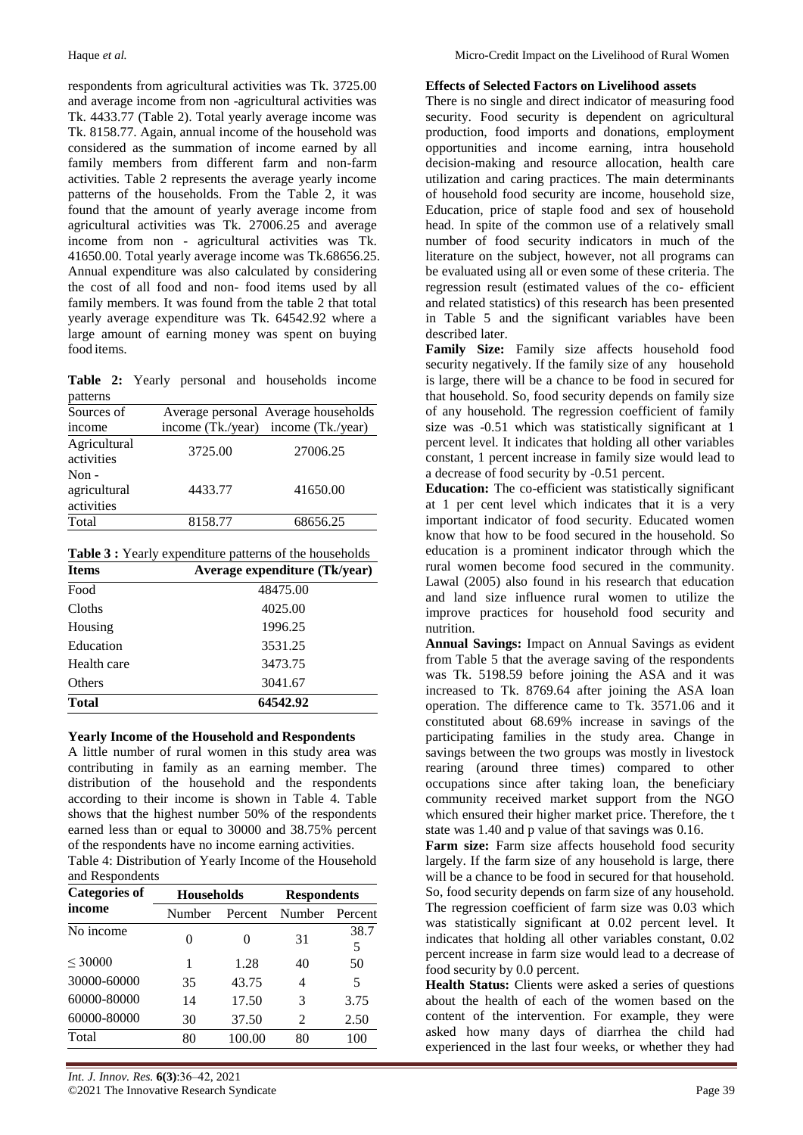respondents from agricultural activities was Tk. 3725.00 and average income from non -agricultural activities was Tk. 4433.77 (Table 2). Total yearly average income was Tk. 8158.77. Again, annual income of the household was considered as the summation of income earned by all family members from different farm and non-farm activities. Table 2 represents the average yearly income patterns of the households. From the Table 2, it was found that the amount of yearly average income from agricultural activities was Tk. 27006.25 and average income from non - agricultural activities was Tk. 41650.00. Total yearly average income was Tk.68656.25. Annual expenditure was also calculated by considering the cost of all food and non- food items used by all family members. It was found from the table 2 that total yearly average expenditure was Tk. 64542.92 where a large amount of earning money was spent on buying food items.

**Table 2:** Yearly personal and households income patterns

|         | Average personal Average households |
|---------|-------------------------------------|
|         | income (Tk./year) income (Tk./year) |
| 3725.00 | 27006.25                            |
| 4433.77 | 41650.00                            |
| 8158.77 | 68656.25                            |
|         |                                     |

**Table 3 :** Yearly expenditure patterns of the households

| <b>Items</b>  | Average expenditure (Tk/year) |  |  |
|---------------|-------------------------------|--|--|
| Food          | 48475.00                      |  |  |
| Cloths        | 4025.00                       |  |  |
| Housing       | 1996.25                       |  |  |
| Education     | 3531.25                       |  |  |
| Health care   | 3473.75                       |  |  |
| <b>Others</b> | 3041.67                       |  |  |
| <b>Total</b>  | 64542.92                      |  |  |

#### **Yearly Income of the Household and Respondents**

A little number of rural women in this study area was contributing in family as an earning member. The distribution of the household and the respondents according to their income is shown in Table 4. Table shows that the highest number 50% of the respondents earned less than or equal to 30000 and 38.75% percent of the respondents have no income earning activities. Table 4: Distribution of Yearly Income of the Household

| Table 4: Distribution of Tearly Income of the Hot |  |  |  |
|---------------------------------------------------|--|--|--|
| and Respondents                                   |  |  |  |
|                                                   |  |  |  |

| <b>Categories of</b> | <b>Households</b> |         | <b>Respondents</b> |           |  |
|----------------------|-------------------|---------|--------------------|-----------|--|
| income               | Number            | Percent | Number Percent     |           |  |
| No income            | 0                 | 0       | 31                 | 38.7<br>5 |  |
| ${}<$ 30000          | 1                 | 1.28    | 40                 | 50        |  |
| 30000-60000          | 35                | 43.75   | 4                  | 5         |  |
| 60000-80000          | 14                | 17.50   | 3                  | 3.75      |  |
| 60000-80000          | 30                | 37.50   | 2                  | 2.50      |  |
| Total                | 80                | 100.00  | 80                 | 100       |  |

### **Effects of Selected Factors on Livelihood assets**

There is no single and direct indicator of measuring food security. Food security is dependent on agricultural production, food imports and donations, employment opportunities and income earning, intra household decision-making and resource allocation, health care utilization and caring practices. The main determinants of household food security are income, household size, Education, price of staple food and sex of household head. In spite of the common use of a relatively small number of food security indicators in much of the literature on the subject, however, not all programs can be evaluated using all or even some of these criteria. The regression result (estimated values of the co- efficient and related statistics) of this research has been presented in Table 5 and the significant variables have been described later.

**Family Size:** Family size affects household food security negatively. If the family size of any household is large, there will be a chance to be food in secured for that household. So, food security depends on family size of any household. The regression coefficient of family size was -0.51 which was statistically significant at 1 percent level. It indicates that holding all other variables constant, 1 percent increase in family size would lead to a decrease of food security by -0.51 percent.

**Education:** The co-efficient was statistically significant at 1 per cent level which indicates that it is a very important indicator of food security. Educated women know that how to be food secured in the household. So education is a prominent indicator through which the rural women become food secured in the community. Lawal (2005) also found in his research that education and land size influence rural women to utilize the improve practices for household food security and nutrition.

**Annual Savings:** Impact on Annual Savings as evident from Table 5 that the average saving of the respondents was Tk. 5198.59 before joining the ASA and it was increased to Tk. 8769.64 after joining the ASA loan operation. The difference came to Tk. 3571.06 and it constituted about 68.69% increase in savings of the participating families in the study area. Change in savings between the two groups was mostly in livestock rearing (around three times) compared to other occupations since after taking loan, the beneficiary community received market support from the NGO which ensured their higher market price. Therefore, the t state was 1.40 and p value of that savings was 0.16.

Farm size: Farm size affects household food security largely. If the farm size of any household is large, there will be a chance to be food in secured for that household. So, food security depends on farm size of any household. The regression coefficient of farm size was 0.03 which was statistically significant at 0.02 percent level. It indicates that holding all other variables constant, 0.02 percent increase in farm size would lead to a decrease of food security by 0.0 percent.

**Health Status:** Clients were asked a series of questions about the health of each of the women based on the content of the intervention. For example, they were asked how many days of diarrhea the child had experienced in the last four weeks, or whether they had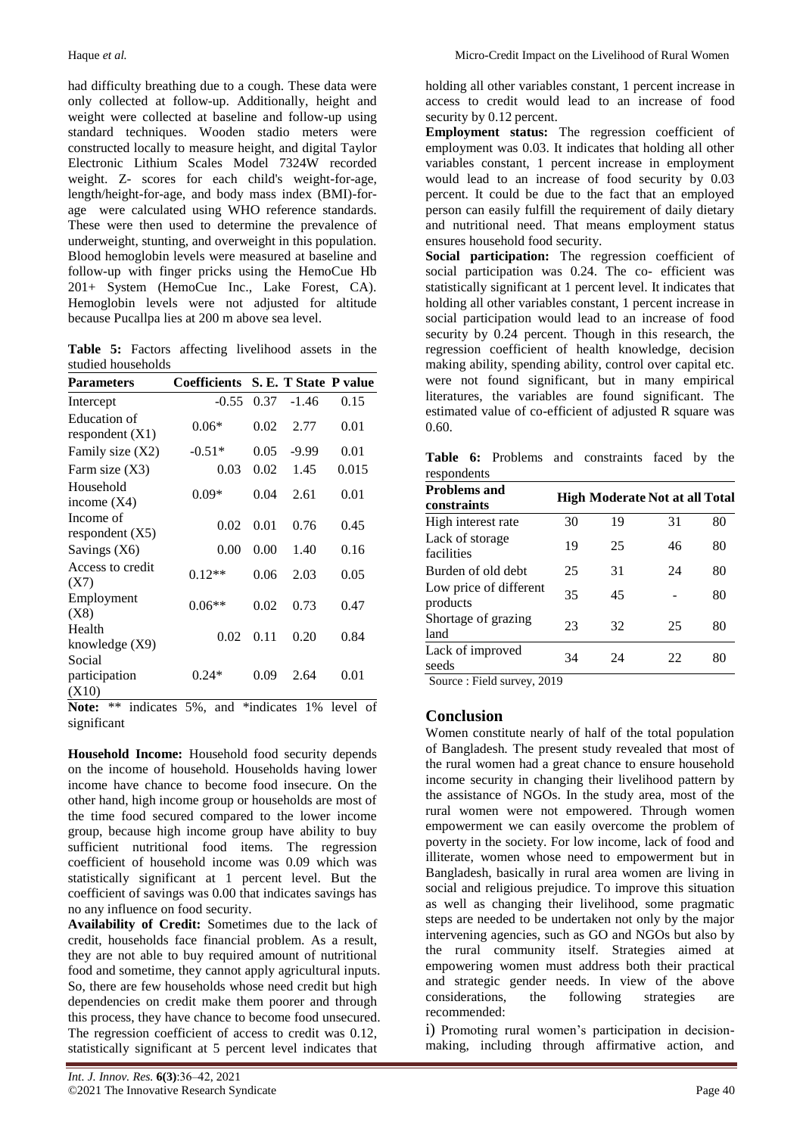had difficulty breathing due to a cough. These data were only collected at follow-up. Additionally, height and weight were collected at baseline and follow-up using standard techniques. Wooden stadio meters were constructed locally to measure height, and digital Taylor Electronic Lithium Scales Model 7324W recorded weight. Z- scores for each child's weight-for-age, length/height-for-age, and body mass index (BMI)-forage were calculated using WHO reference standards. These were then used to determine the prevalence of underweight, stunting, and overweight in this population. Blood hemoglobin levels were measured at baseline and follow-up with finger pricks using the HemoCue Hb 201+ System (HemoCue Inc., Lake Forest, CA). Hemoglobin levels were not adjusted for altitude because Pucallpa lies at 200 m above sea level.

**Table 5:** Factors affecting livelihood assets in the studied households

| <b>Parameters</b>                 | Coefficients |      |         | S. E. T State P value |
|-----------------------------------|--------------|------|---------|-----------------------|
| Intercept                         | $-0.55$      | 0.37 | $-1.46$ | 0.15                  |
| Education of<br>respondent $(X1)$ | $0.06*$      | 0.02 | 2.77    | 0.01                  |
| Family size $(X2)$                | $-0.51*$     | 0.05 | $-9.99$ | 0.01                  |
| Farm size $(X3)$                  | 0.03         | 0.02 | 1.45    | 0.015                 |
| Household<br>income $(X4)$        | $0.09*$      | 0.04 | 2.61    | 0.01                  |
| Income of<br>respondent $(X5)$    | 0.02         | 0.01 | 0.76    | 0.45                  |
| Savings (X6)                      | 0.00         | 0.00 | 1.40    | 0.16                  |
| Access to credit<br>(X7)          | $0.12**$     | 0.06 | 2.03    | 0.05                  |
| Employment<br>(X8)                | $0.06**$     | 0.02 | 0.73    | 0.47                  |
| Health<br>knowledge $(X9)$        | 0.02         | 0.11 | 0.20    | 0.84                  |
| Social<br>participation<br>(X10)  | $0.24*$      | 0.09 | 2.64    | 0.01                  |

**Note:** \*\* indicates 5%, and \*indicates 1% level of significant

**Household Income:** Household food security depends on the income of household. Households having lower income have chance to become food insecure. On the other hand, high income group or households are most of the time food secured compared to the lower income group, because high income group have ability to buy sufficient nutritional food items. The regression coefficient of household income was 0.09 which was statistically significant at 1 percent level. But the coefficient of savings was 0.00 that indicates savings has no any influence on food security.

**Availability of Credit:** Sometimes due to the lack of credit, households face financial problem. As a result, they are not able to buy required amount of nutritional food and sometime, they cannot apply agricultural inputs. So, there are few households whose need credit but high dependencies on credit make them poorer and through this process, they have chance to become food unsecured. The regression coefficient of access to credit was 0.12, statistically significant at 5 percent level indicates that

holding all other variables constant, 1 percent increase in access to credit would lead to an increase of food security by 0.12 percent.

**Employment status:** The regression coefficient of employment was 0.03. It indicates that holding all other variables constant, 1 percent increase in employment would lead to an increase of food security by 0.03 percent. It could be due to the fact that an employed person can easily fulfill the requirement of daily dietary and nutritional need. That means employment status ensures household food security.

Social participation: The regression coefficient of social participation was 0.24. The co- efficient was statistically significant at 1 percent level. It indicates that holding all other variables constant, 1 percent increase in social participation would lead to an increase of food security by 0.24 percent. Though in this research, the regression coefficient of health knowledge, decision making ability, spending ability, control over capital etc. were not found significant, but in many empirical literatures, the variables are found significant. The estimated value of co-efficient of adjusted R square was 0.60.

**Table 6:** Problems and constraints faced by the respondents

| <b>Problems and</b><br>constraints |    | <b>High Moderate Not at all Total</b> |    |    |
|------------------------------------|----|---------------------------------------|----|----|
| High interest rate                 | 30 | 19                                    | 31 | 80 |
| Lack of storage<br>facilities      | 19 | 25                                    | 46 | 80 |
| Burden of old debt                 | 25 | 31                                    | 24 | 80 |
| Low price of different<br>products | 35 | 45                                    |    | 80 |
| Shortage of grazing<br>land        | 23 | 32                                    | 25 | 80 |
| Lack of improved<br>seeds          | 34 | 24                                    | 22 | 80 |

Source : Field survey, 2019

## **Conclusion**

Women constitute nearly of half of the total population of Bangladesh. The present study revealed that most of the rural women had a great chance to ensure household income security in changing their livelihood pattern by the assistance of NGOs. In the study area, most of the rural women were not empowered. Through women empowerment we can easily overcome the problem of poverty in the society. For low income, lack of food and illiterate, women whose need to empowerment but in Bangladesh, basically in rural area women are living in social and religious prejudice. To improve this situation as well as changing their livelihood, some pragmatic steps are needed to be undertaken not only by the major intervening agencies, such as GO and NGOs but also by the rural community itself. Strategies aimed at empowering women must address both their practical and strategic gender needs. In view of the above considerations, the following strategies are recommended:

i) Promoting rural women's participation in decisionmaking, including through affirmative action, and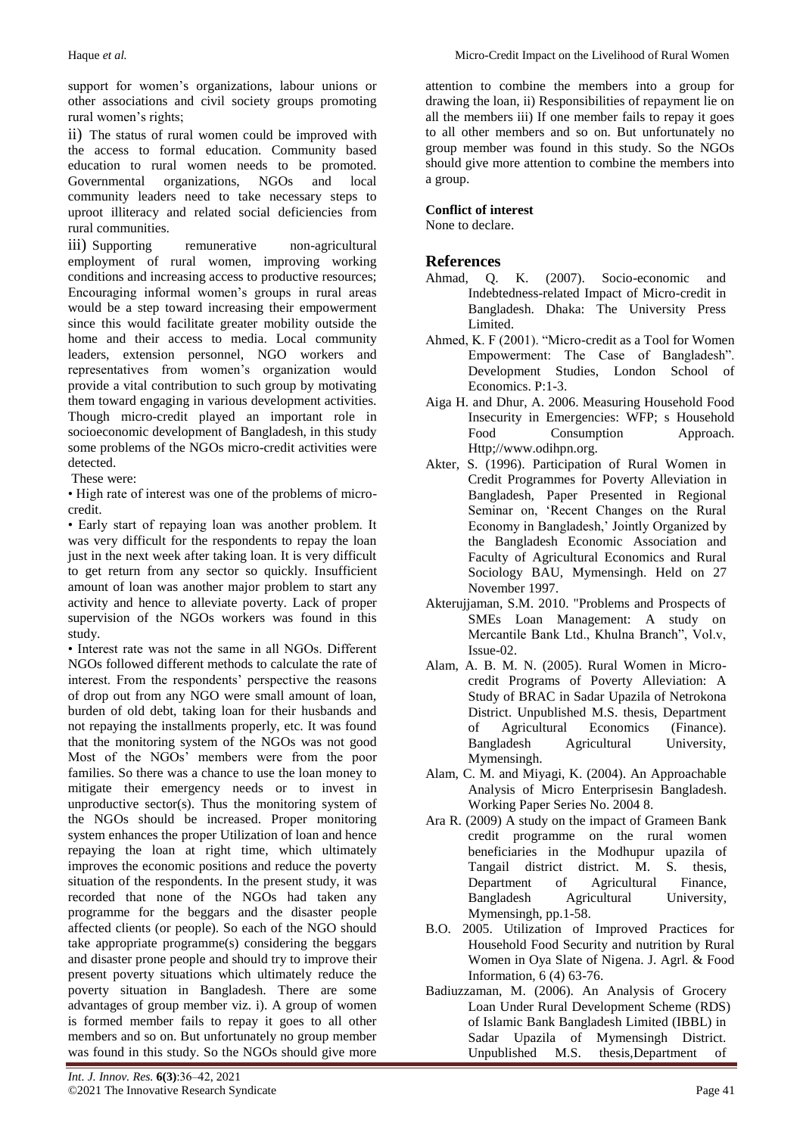support for women"s organizations, labour unions or other associations and civil society groups promoting rural women's rights;

ii) The status of rural women could be improved with the access to formal education. Community based education to rural women needs to be promoted. Governmental organizations, NGOs and local community leaders need to take necessary steps to uproot illiteracy and related social deficiencies from rural communities.

iii) Supporting remunerative non-agricultural employment of rural women, improving working conditions and increasing access to productive resources; Encouraging informal women"s groups in rural areas would be a step toward increasing their empowerment since this would facilitate greater mobility outside the home and their access to media. Local community leaders, extension personnel, NGO workers and representatives from women"s organization would provide a vital contribution to such group by motivating them toward engaging in various development activities. Though micro-credit played an important role in socioeconomic development of Bangladesh, in this study some problems of the NGOs micro-credit activities were detected.

These were:

• High rate of interest was one of the problems of microcredit.

• Early start of repaying loan was another problem. It was very difficult for the respondents to repay the loan just in the next week after taking loan. It is very difficult to get return from any sector so quickly. Insufficient amount of loan was another major problem to start any activity and hence to alleviate poverty. Lack of proper supervision of the NGOs workers was found in this study.

• Interest rate was not the same in all NGOs. Different NGOs followed different methods to calculate the rate of interest. From the respondents' perspective the reasons of drop out from any NGO were small amount of loan, burden of old debt, taking loan for their husbands and not repaying the installments properly, etc. It was found that the monitoring system of the NGOs was not good Most of the NGOs' members were from the poor families. So there was a chance to use the loan money to mitigate their emergency needs or to invest in unproductive sector(s). Thus the monitoring system of the NGOs should be increased. Proper monitoring system enhances the proper Utilization of loan and hence repaying the loan at right time, which ultimately improves the economic positions and reduce the poverty situation of the respondents. In the present study, it was recorded that none of the NGOs had taken any programme for the beggars and the disaster people affected clients (or people). So each of the NGO should take appropriate programme(s) considering the beggars and disaster prone people and should try to improve their present poverty situations which ultimately reduce the poverty situation in Bangladesh. There are some advantages of group member viz. i). A group of women is formed member fails to repay it goes to all other members and so on. But unfortunately no group member was found in this study. So the NGOs should give more

attention to combine the members into a group for drawing the loan, ii) Responsibilities of repayment lie on all the members iii) If one member fails to repay it goes to all other members and so on. But unfortunately no group member was found in this study. So the NGOs should give more attention to combine the members into a group.

## **Conflict of interest**

None to declare.

## **References**

- Ahmad, Q. K. (2007). Socio-economic and Indebtedness-related Impact of Micro-credit in Bangladesh. Dhaka: The University Press Limited.
- Ahmed, K. F (2001). "Micro-credit as a Tool for Women Empowerment: The Case of Bangladesh". Development Studies, London School of Economics. P:1-3.
- Aiga H. and Dhur, A. 2006. Measuring Household Food Insecurity in Emergencies: WFP; s Household Food Consumption Approach. Http;/[/www.odihpn.org.](http://www.odihpn.org/)
- Akter, S. (1996). Participation of Rural Women in Credit Programmes for Poverty Alleviation in Bangladesh, Paper Presented in Regional Seminar on, "Recent Changes on the Rural Economy in Bangladesh," Jointly Organized by the Bangladesh Economic Association and Faculty of Agricultural Economics and Rural Sociology BAU, Mymensingh. Held on 27 November 1997.
- Akterujjaman, S.M. 2010. "Problems and Prospects of SMEs Loan Management: A study on Mercantile Bank Ltd., Khulna Branch", Vol.v, Issue-02.
- Alam, A. B. M. N. (2005). Rural Women in Microcredit Programs of Poverty Alleviation: A Study of BRAC in Sadar Upazila of Netrokona District. Unpublished M.S. thesis, Department of Agricultural Economics (Finance). Bangladesh Agricultural University, Mymensingh.
- Alam, C. M. and Miyagi, K. (2004). An Approachable Analysis of Micro Enterprisesin Bangladesh. Working Paper Series No. 2004 8.
- Ara R. (2009) A study on the impact of Grameen Bank credit programme on the rural women beneficiaries in the Modhupur upazila of Tangail district district. M. S. thesis, Department of Agricultural Finance, Bangladesh Agricultural University, Mymensingh, pp.1-58.
- B.O. 2005. Utilization of Improved Practices for Household Food Security and nutrition by Rural Women in Oya Slate of Nigena. J. Agrl. & Food Information, 6 (4) 63-76.
- Badiuzzaman, M. (2006). An Analysis of Grocery Loan Under Rural Development Scheme (RDS) of Islamic Bank Bangladesh Limited (IBBL) in Sadar Upazila of Mymensingh District. Unpublished M.S. thesis,Department of